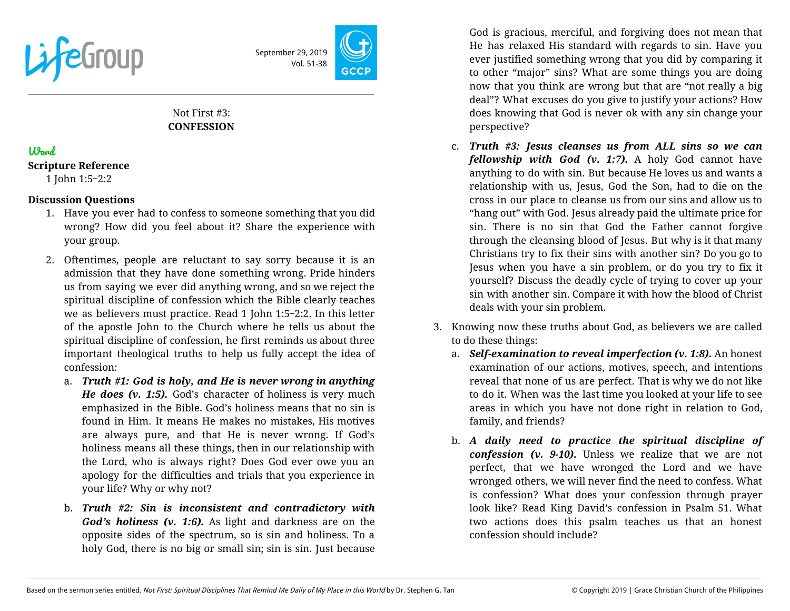



# Not First #3: **CONFESSION**

## Word

### **Scripture Reference**

1 John 1:5‒2:2

## **Discussion Questions**

- 1. Have you ever had to confess to someone something that you did wrong? How did you feel about it? Share the experience with your group.
- 2. Oftentimes, people are reluctant to say sorry because it is an admission that they have done something wrong. Pride hinders us from saying we ever did anything wrong, and so we reject the spiritual discipline of confession which the Bible clearly teaches we as believers must practice. Read 1 John 1:5‒2:2. In this letter of the apostle John to the Church where he tells us about the spiritual discipline of confession, he first reminds us about three important theological truths to help us fully accept the idea of confession:
	- a. *Truth #1: God is holy, and He is never wrong in anything He does (v. 1:5).* God's character of holiness is very much emphasized in the Bible. God's holiness means that no sin is found in Him. It means He makes no mistakes, His motives are always pure, and that He is never wrong. If God's holiness means all these things, then in our relationship with the Lord, who is always right? Does God ever owe you an apology for the difficulties and trials that you experience in your life? Why or why not?
	- b. *Truth #2: Sin is inconsistent and contradictory with God's holiness (v. 1:6).* As light and darkness are on the opposite sides of the spectrum, so is sin and holiness. To a holy God, there is no big or small sin; sin is sin. Just because

God is gracious, merciful, and forgiving does not mean that He has relaxed His standard with regards to sin. Have you ever justified something wrong that you did by comparing it to other "major" sins? What are some things you are doing now that you think are wrong but that are "not really a big deal"? What excuses do you give to justify your actions? How does knowing that God is never ok with any sin change your perspective?

- c. *Truth #3: Jesus cleanses us from ALL sins so we can fellowship with God (v. 1:7).* A holy God cannot have anything to do with sin. But because He loves us and wants a relationship with us, Jesus, God the Son, had to die on the cross in our place to cleanse us from our sins and allow us to "hang out" with God. Jesus already paid the ultimate price for sin. There is no sin that God the Father cannot forgive through the cleansing blood of Jesus. But why is it that many Christians try to fix their sins with another sin? Do you go to Jesus when you have a sin problem, or do you try to fix it yourself? Discuss the deadly cycle of trying to cover up your sin with another sin. Compare it with how the blood of Christ deals with your sin problem.
- 3. Knowing now these truths about God, as believers we are called to do these things:
	- a. *Self-examination to reveal imperfection (v. 1:8).* An honest examination of our actions, motives, speech, and intentions reveal that none of us are perfect. That is why we do not like to do it. When was the last time you looked at your life to see areas in which you have not done right in relation to God, family, and friends?
	- b. *A daily need to practice the spiritual discipline of confession (v. 9-10).* Unless we realize that we are not perfect, that we have wronged the Lord and we have wronged others, we will never find the need to confess. What is confession? What does your confession through prayer look like? Read King David's confession in Psalm 51. What two actions does this psalm teaches us that an honest confession should include?